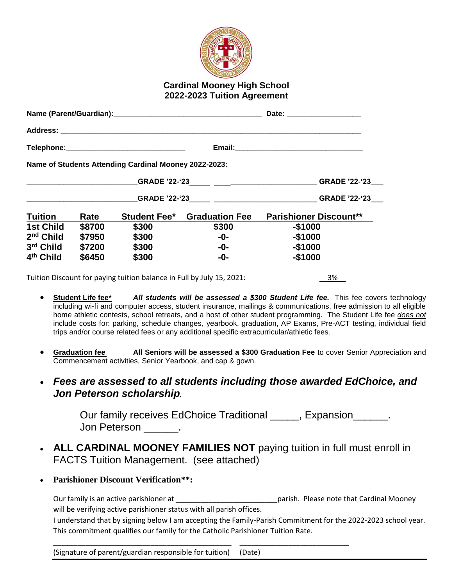

## **Cardinal Mooney High School 2022-2023 Tuition Agreement**

|                                                                       |        |                                                       |                                    | Date: _____________________   |  |
|-----------------------------------------------------------------------|--------|-------------------------------------------------------|------------------------------------|-------------------------------|--|
|                                                                       |        |                                                       |                                    |                               |  |
|                                                                       |        |                                                       |                                    |                               |  |
|                                                                       |        | Name of Students Attending Cardinal Mooney 2022-2023: |                                    |                               |  |
|                                                                       |        |                                                       |                                    |                               |  |
|                                                                       |        |                                                       |                                    |                               |  |
| <b>Tuition</b>                                                        | Rate   |                                                       | <b>Student Fee*</b> Graduation Fee | <b>Parishioner Discount**</b> |  |
| <b>1st Child</b>                                                      | \$8700 | \$300                                                 | \$300                              | $-$1000$                      |  |
| $2nd$ Child                                                           | \$7950 | \$300                                                 | -0-                                | $-$1000$                      |  |
| 3rd Child                                                             | \$7200 | \$300                                                 | -0-                                | $-$1000$                      |  |
| 4 <sup>th</sup> Child                                                 | \$6450 | \$300                                                 | $-0-$                              | $-$1000$                      |  |
| Tuition Discount for paying tuition balance in Full by July 15, 2021: |        | 3%                                                    |                                    |                               |  |

- **Student Life fee\*** *All students will be assessed a \$300 Student Life fee.* This fee covers technology including wi-fi and computer access, student insurance, mailings & communications, free admission to all eligible home athletic contests, school retreats, and a host of other student programming. The Student Life fee *does not* include costs for: parking, schedule changes, yearbook, graduation, AP Exams, Pre-ACT testing, individual field trips and/or course related fees or any additional specific extracurricular/athletic fees.
- **Graduation fee All Seniors will be assessed a \$300 Graduation Fee** to cover Senior Appreciation and Commencement activities, Senior Yearbook, and cap & gown.
- *Fees are assessed to all students including those awarded EdChoice, and Jon Peterson scholarship.*

Our family receives EdChoice Traditional \_\_\_\_\_, Expansion \_\_\_\_\_\_. Jon Peterson \_\_\_\_\_\_\_.

- **ALL CARDINAL MOONEY FAMILIES NOT** paying tuition in full must enroll in FACTS Tuition Management. (see attached)
- **Parishioner Discount Verification\*\*:**

Our family is an active parishioner at **Exercise 20** arish. Please note that Cardinal Mooney will be verifying active parishioner status with all parish offices.

\_\_\_\_\_\_\_\_\_\_\_\_\_\_\_\_\_\_\_\_\_\_\_\_\_\_\_\_\_\_\_\_\_\_\_\_\_\_\_\_\_\_\_\_ \_\_\_\_\_\_\_\_\_\_\_\_\_\_\_\_\_\_\_\_\_\_\_\_\_\_\_

I understand that by signing below I am accepting the Family-Parish Commitment for the 2022-2023 school year. This commitment qualifies our family for the Catholic Parishioner Tuition Rate.

(Signature of parent/guardian responsible for tuition) (Date)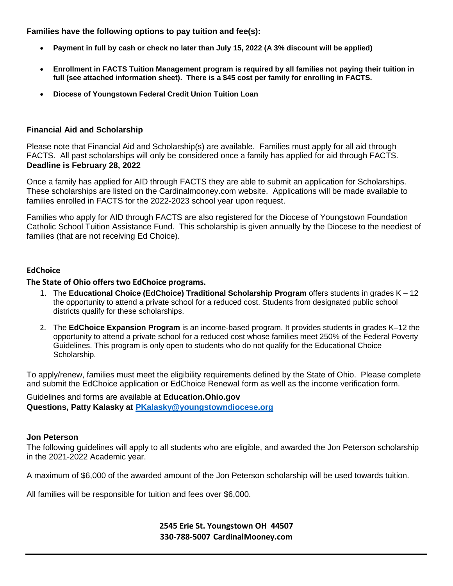**Families have the following options to pay tuition and fee(s):**

- **Payment in full by cash or check no later than July 15, 2022 (A 3% discount will be applied)**
- **Enrollment in FACTS Tuition Management program is required by all families not paying their tuition in full (see attached information sheet). There is a \$45 cost per family for enrolling in FACTS.**
- **Diocese of Youngstown Federal Credit Union Tuition Loan**

### **Financial Aid and Scholarship**

Please note that Financial Aid and Scholarship(s) are available. Families must apply for all aid through FACTS. All past scholarships will only be considered once a family has applied for aid through FACTS. **Deadline is February 28, 2022**

Once a family has applied for AID through FACTS they are able to submit an application for Scholarships. These scholarships are listed on the Cardinalmooney.com website. Applications will be made available to families enrolled in FACTS for the 2022-2023 school year upon request.

Families who apply for AID through FACTS are also registered for the Diocese of Youngstown Foundation Catholic School Tuition Assistance Fund. This scholarship is given annually by the Diocese to the neediest of families (that are not receiving Ed Choice).

#### **EdChoice**

**The State of Ohio offers two EdChoice programs.** 

- 1. The **Educational Choice (EdChoice) Traditional Scholarship Program** offers students in grades K 12 the opportunity to attend a private school for a reduced cost. Students from designated public school districts qualify for these scholarships.
- 2. The **EdChoice Expansion Program** is an income-based program. It provides students in grades K–12 the opportunity to attend a private school for a reduced cost whose families meet 250% of the Federal Poverty Guidelines. This program is only open to students who do not qualify for the Educational Choice Scholarship.

To apply/renew, families must meet the eligibility requirements defined by the State of Ohio. Please complete and submit the EdChoice application or EdChoice Renewal form as well as the income verification form.

Guidelines and forms are available at **Education.Ohio.gov Questions, Patty Kalasky at [PKalasky@youngstowndiocese.org](mailto:PKalasky@youngstowndiocese.org)**

#### **Jon Peterson**

The following guidelines will apply to all students who are eligible, and awarded the Jon Peterson scholarship in the 2021-2022 Academic year.

A maximum of \$6,000 of the awarded amount of the Jon Peterson scholarship will be used towards tuition.

All families will be responsible for tuition and fees over \$6,000.

**2545 Erie St. Youngstown OH 44507 330-788-5007 CardinalMooney.com**